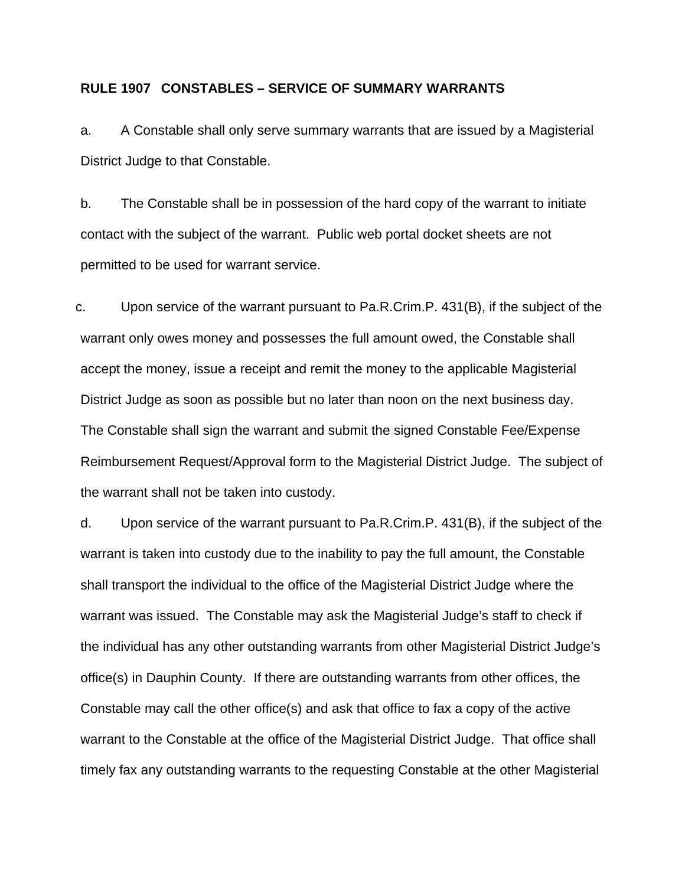## **RULE 1907 CONSTABLES – SERVICE OF SUMMARY WARRANTS**

a. A Constable shall only serve summary warrants that are issued by a Magisterial District Judge to that Constable.

b. The Constable shall be in possession of the hard copy of the warrant to initiate contact with the subject of the warrant. Public web portal docket sheets are not permitted to be used for warrant service.

c. Upon service of the warrant pursuant to Pa.R.Crim.P. 431(B), if the subject of the warrant only owes money and possesses the full amount owed, the Constable shall accept the money, issue a receipt and remit the money to the applicable Magisterial District Judge as soon as possible but no later than noon on the next business day. The Constable shall sign the warrant and submit the signed Constable Fee/Expense Reimbursement Request/Approval form to the Magisterial District Judge. The subject of the warrant shall not be taken into custody.

d. Upon service of the warrant pursuant to Pa.R.Crim.P. 431(B), if the subject of the warrant is taken into custody due to the inability to pay the full amount, the Constable shall transport the individual to the office of the Magisterial District Judge where the warrant was issued. The Constable may ask the Magisterial Judge's staff to check if the individual has any other outstanding warrants from other Magisterial District Judge's office(s) in Dauphin County. If there are outstanding warrants from other offices, the Constable may call the other office(s) and ask that office to fax a copy of the active warrant to the Constable at the office of the Magisterial District Judge. That office shall timely fax any outstanding warrants to the requesting Constable at the other Magisterial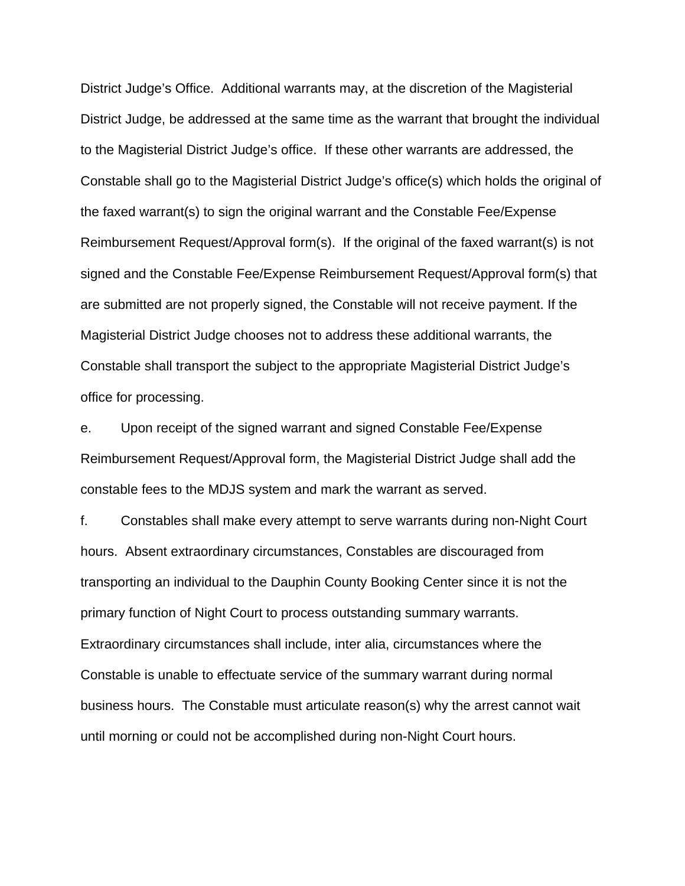District Judge's Office. Additional warrants may, at the discretion of the Magisterial District Judge, be addressed at the same time as the warrant that brought the individual to the Magisterial District Judge's office. If these other warrants are addressed, the Constable shall go to the Magisterial District Judge's office(s) which holds the original of the faxed warrant(s) to sign the original warrant and the Constable Fee/Expense Reimbursement Request/Approval form(s). If the original of the faxed warrant(s) is not signed and the Constable Fee/Expense Reimbursement Request/Approval form(s) that are submitted are not properly signed, the Constable will not receive payment. If the Magisterial District Judge chooses not to address these additional warrants, the Constable shall transport the subject to the appropriate Magisterial District Judge's office for processing.

e. Upon receipt of the signed warrant and signed Constable Fee/Expense Reimbursement Request/Approval form, the Magisterial District Judge shall add the constable fees to the MDJS system and mark the warrant as served.

f. Constables shall make every attempt to serve warrants during non-Night Court hours. Absent extraordinary circumstances, Constables are discouraged from transporting an individual to the Dauphin County Booking Center since it is not the primary function of Night Court to process outstanding summary warrants. Extraordinary circumstances shall include, inter alia, circumstances where the Constable is unable to effectuate service of the summary warrant during normal business hours. The Constable must articulate reason(s) why the arrest cannot wait until morning or could not be accomplished during non-Night Court hours.